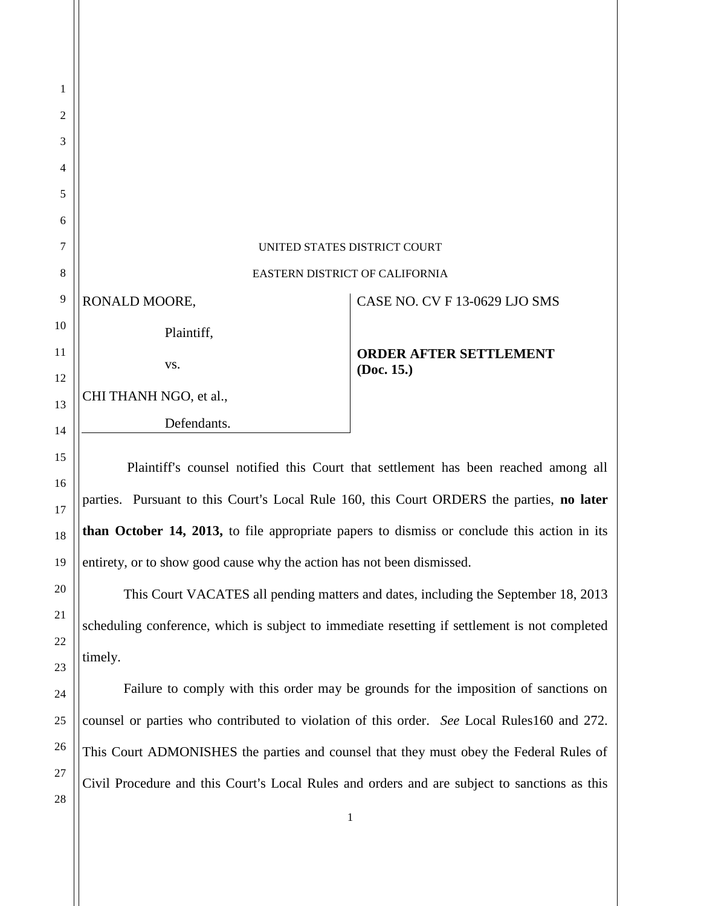| 1              |                                |                                             |  |
|----------------|--------------------------------|---------------------------------------------|--|
| $\mathfrak{2}$ |                                |                                             |  |
| 3              |                                |                                             |  |
| $\overline{4}$ |                                |                                             |  |
| 5              |                                |                                             |  |
| 6              |                                |                                             |  |
| 7              | UNITED STATES DISTRICT COURT   |                                             |  |
| $\,8\,$        | EASTERN DISTRICT OF CALIFORNIA |                                             |  |
| 9              | RONALD MOORE,                  | CASE NO. CV F 13-0629 LJO SMS               |  |
| 10             | Plaintiff,                     |                                             |  |
| 11             | VS.                            | <b>ORDER AFTER SETTLEMENT</b><br>(Doc. 15.) |  |
| 12             |                                |                                             |  |
| 13             | CHI THANH NGO, et al.,         |                                             |  |
| 14             | Defendants.                    |                                             |  |
|                |                                |                                             |  |

Plaintiff's counsel notified this Court that settlement has been reached among all parties. Pursuant to this Court's Local Rule 160, this Court ORDERS the parties, **no later than October 14, 2013,** to file appropriate papers to dismiss or conclude this action in its entirety, or to show good cause why the action has not been dismissed.

This Court VACATES all pending matters and dates, including the September 18, 2013 scheduling conference, which is subject to immediate resetting if settlement is not completed timely.

Failure to comply with this order may be grounds for the imposition of sanctions on counsel or parties who contributed to violation of this order. *See* Local Rules160 and 272. This Court ADMONISHES the parties and counsel that they must obey the Federal Rules of Civil Procedure and this Court's Local Rules and orders and are subject to sanctions as this